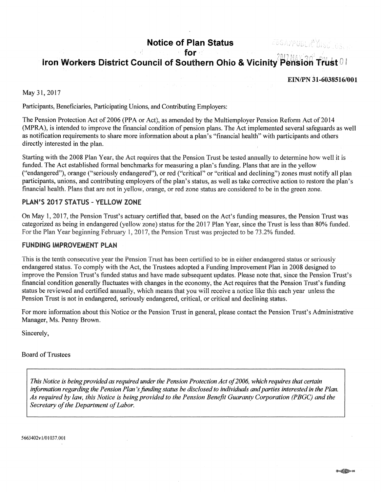# **Notice of Plan Status**

# ZBSAZPUBLIČUSCIOS.

# **for** . c, **... c**, **... 2017 MAY, 30<sup>2</sup> + Iron Workers District Council of Southern Ohio & Vicinity Pe'nsion trust**

#### EIN/PN 31-6038516/001

#### May 31, 2017

Participants, Beneficiaries, Participating Unions, and Contributing Employers:

The Pension Protection Act of 2006 (PPA or Act), as amended by the Multiemployer Pension Reform Act of 2014 (MPRA), is intended to improve the financial condition of pension plans. The Act implemented several safeguards as well as notification requirements to share more information about a plan's "financial health" with participants and others directly interested in the plan.

Starting with the 2008 Plan Year, the Act requires that the Pension Trust be tested annually to determine how well it is funded. The Act established formal benchmarks for measuring a plan's funding. Plans that are in the yellow ("endangered"), orange ("seriously endangered"), or red ("critical" or "critical and declining") zones must notify all plan participants, unions, and contributing employers of the plan's status, as well as take corrective action to restore the plan's financial health. Plans that are not in yellow, orange, or red zone status are considered to be in the green zone.

# PLAN'S 2017 STATUS - YELLOW ZONE

On May 1, 2017, the Pension Trust's actuary certified that, based on the Act's funding measures, the Pension Trust was categorized as being in endangered (yellow zone) status for the 2017 Plan Year, since the Trust is less than 80% funded. For the Plan Year beginning February I, 2017, the Pension Trust was projected to be 73 .2% funded.

#### FUNDING IMPROVEMENT PLAN

This is the tenth consecutive year the Pension Trust has been certified to be in either endangered status or seriously endangered status. To comply with the Act, the Trustees adopted a Funding Improvement Plan in 2008 designed to improve the Pension Trust's funded status and have made subsequent updates. Please note that, since the Pension Trust's financial condition generally fluctuates with changes in the economy, the Act requires that the Pension Trust's funding status be reviewed and certified annually, which means that you will receive a notice like this each year unless the Pension Trust is not in endangered, seriously endangered, critical, or critical and declining status.

For more information about this Notice or the Pension Trnst in general, please contact the Pension Trust's Administrative Manager, Ms. Penny Brown.

Sincerely,

#### Board of Trustees

This Notice is being provided as required under the Pension Protection Act of 2006, which requires that certain information regarding the Pension Plan's funding status be disclosed to individuals and parties interested in the Plan. As required by law, this Notice is being provided to the Pension Benefit Guaranty Corporation (PBGC) and the *Secretary of the Department of Labor.* 

5663402v1/01037.001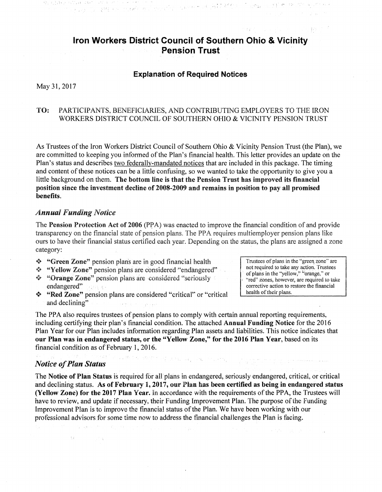# **Iron Workers District Council of Southern Ohio & Vicinity Pension Trust**

an an chair ann an 1970.<br>Tagairtí Mhear chuid an chomhan an mar an Altairtí

## Explanation of Required Notices

May 31, 2017

# TO: PARTICIPANTS. BENEFICIARIES, AND CONTRIBUTING EMPLOYERS TO THE IRON WORKERS DISTRICT COUNCIL OF SOUTHERN OHIO & VICINITY PENSION TRUST

As Trustees of the Iron Workers District Council of Southern Ohio & Vicinity Pension Trust (the Plan), we are committed to keeping you infonned of the Plan's financial health. This letter provides an update on the Plan's status and describes two federally-mandated notices that are included in this package. The timing and content of these notices can be a little confusing, so we wanted to take the opportunity to give you a little background on them. The bottom line is that the Pension Trust has improved its financial position since the investment decline of 2008-2009 and remains in position to pay all promised benefits.

#### *Annual Funding Notice*

The Pension Protection Act of 2006 (PPA) was enacted to improve the financial condition of and provide transparency on the financial state of pension plans. The PPA requires multiemployer pension plans like ours to have their financial status certified each year. Depending on the status, the plans are assigned a zone category:

- \* "Green Zone" pension plans are in good financial health
- •!• "Yellow Zone" pension plans are cunsidered "'endangered"
- \* "Orange Zone" pension plans are considered "seriously endangered"
- •:• "Red Zone" pension plans are considered "critical" or "critical and declining" **Control of the Control**

Trustees of plans in the "green, zone" are not required to take any action. Trustees of plans in the "yellow," "orange," or "red" zones, however, are required to take corrective action to restore the financial health of their plans.

The PPA also requires trustees of pension plans to comply with certain annual reporting requirements, including certifying their plan's financial condition. The attached Annual Funding Notice for the 2016 Plan Year for our Plan includes information regarding Plan assets and liabilities. This notice indicates that our Plan was in endangered status, or the "Yellow Zone," for the 2016 Plan Year, based on its financial condition as of February 1, 2016.

(1953) PROCESS (1951) PR CONTR.

## *Notice of Plan Status*

 $\mathcal{X}$ 

The Notice of Plan Status is required for all plans in endangered, seriously endangered, critical, or critical and declining status. As of February 1, 2017, our Plan has been certified as being in endangered status (Yellow Zone) for the 2017 Plan Year. In accordance with the requirements of the PPA, the Trustees will have to review, and update if necessary, their Funding Improvement Plan. The purpose of the Funding Improvement Plan is to improve the financial status of the Plan. We have been working with our professional advisors for some time now to address the financial challenges the Plan is facing.